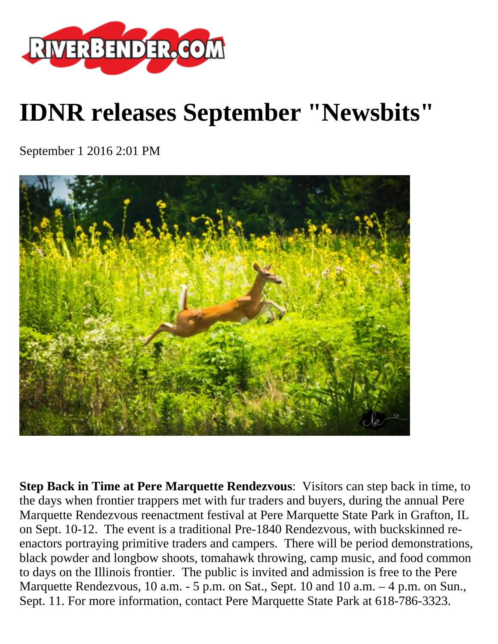

## **IDNR releases September "Newsbits"**

September 1 2016 2:01 PM



**Step Back in Time at Pere Marquette Rendezvous**: Visitors can step back in time, to the days when frontier trappers met with fur traders and buyers, during the annual Pere Marquette Rendezvous reenactment festival at Pere Marquette State Park in Grafton, IL on Sept. 10-12. The event is a traditional Pre-1840 Rendezvous, with buckskinned reenactors portraying primitive traders and campers. There will be period demonstrations, black powder and longbow shoots, tomahawk throwing, camp music, and food common to days on the Illinois frontier. The public is invited and admission is free to the Pere Marquette Rendezvous, 10 a.m. - 5 p.m. on Sat., Sept. 10 and 10 a.m. - 4 p.m. on Sun., Sept. 11. For more information, contact Pere Marquette State Park at 618-786-3323.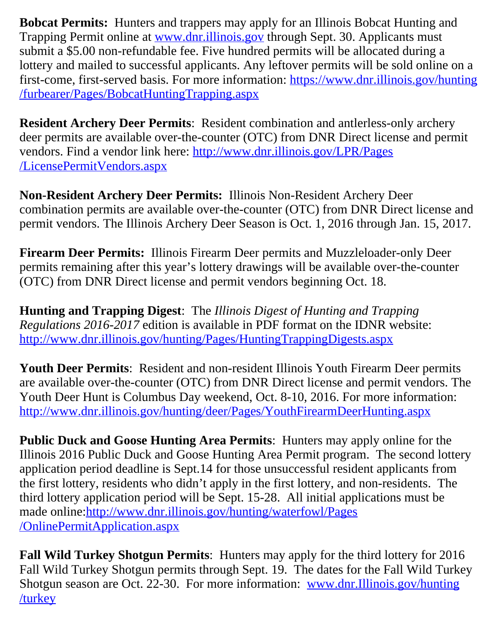**Bobcat Permits:** Hunters and trappers may apply for an Illinois Bobcat Hunting and Trapping Permit online at [www.dnr.illinois.gov](http://www.dnr.illinois.gov/) through Sept. 30. Applicants must submit a \$5.00 non-refundable fee. Five hundred permits will be allocated during a lottery and mailed to successful applicants. Any leftover permits will be sold online on a first-come, first-served basis. For more information: [https://www.dnr.illinois.gov/hunting](https://www.dnr.illinois.gov/hunting/furbearer/Pages/BobcatHuntingTrapping.aspx) [/furbearer/Pages/BobcatHuntingTrapping.aspx](https://www.dnr.illinois.gov/hunting/furbearer/Pages/BobcatHuntingTrapping.aspx)

**Resident Archery Deer Permits**: Resident combination and antlerless-only archery deer permits are available over-the-counter (OTC) from DNR Direct license and permit vendors. Find a vendor link here: [http://www.dnr.illinois.gov/LPR/Pages](http://www.dnr.illinois.gov/LPR/Pages/LicensePermitVendors.aspx) [/LicensePermitVendors.aspx](http://www.dnr.illinois.gov/LPR/Pages/LicensePermitVendors.aspx)

**Non-Resident Archery Deer Permits:** Illinois Non-Resident Archery Deer combination permits are available over-the-counter (OTC) from DNR Direct license and permit vendors. The Illinois Archery Deer Season is Oct. 1, 2016 through Jan. 15, 2017.

**Firearm Deer Permits:** Illinois Firearm Deer permits and Muzzleloader-only Deer permits remaining after this year's lottery drawings will be available over-the-counter (OTC) from DNR Direct license and permit vendors beginning Oct. 18.

**Hunting and Trapping Digest**: The *Illinois Digest of Hunting and Trapping Regulations 2016-2017* edition is available in PDF format on the IDNR website: <http://www.dnr.illinois.gov/hunting/Pages/HuntingTrappingDigests.aspx>

**Youth Deer Permits**: Resident and non-resident Illinois Youth Firearm Deer permits are available over-the-counter (OTC) from DNR Direct license and permit vendors. The Youth Deer Hunt is Columbus Day weekend, Oct. 8-10, 2016. For more information: <http://www.dnr.illinois.gov/hunting/deer/Pages/YouthFirearmDeerHunting.aspx>

**Public Duck and Goose Hunting Area Permits**: Hunters may apply online for the Illinois 2016 Public Duck and Goose Hunting Area Permit program. The second lottery application period deadline is Sept.14 for those unsuccessful resident applicants from the first lottery, residents who didn't apply in the first lottery, and non-residents. The third lottery application period will be Sept. 15-28. All initial applications must be made online:[http://www.dnr.illinois.gov/hunting/waterfowl/Pages](http://www.dnr.illinois.gov/hunting/waterfowl/Pages/OnlinePermitApplication.aspx) [/OnlinePermitApplication.aspx](http://www.dnr.illinois.gov/hunting/waterfowl/Pages/OnlinePermitApplication.aspx)

**Fall Wild Turkey Shotgun Permits**: Hunters may apply for the third lottery for 2016 Fall Wild Turkey Shotgun permits through Sept. 19. The dates for the Fall Wild Turkey Shotgun season are Oct. 22-30. For more information: [www.dnr.Illinois.gov/hunting](http://www.dnr.illinois.gov/hunting/turkey) [/turkey](http://www.dnr.illinois.gov/hunting/turkey)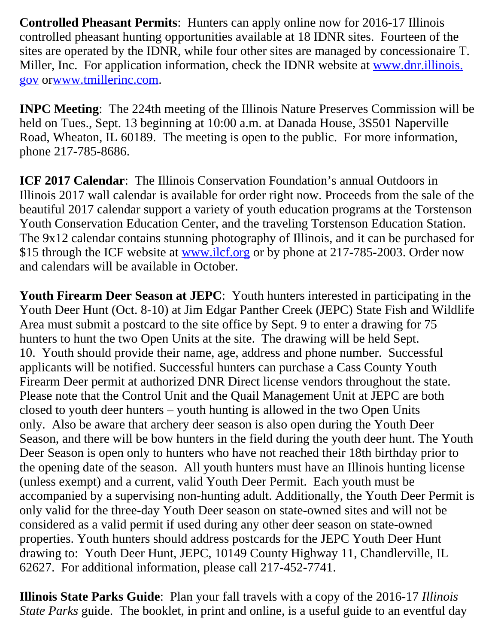**Controlled Pheasant Permits**: Hunters can apply online now for 2016-17 Illinois controlled pheasant hunting opportunities available at 18 IDNR sites. Fourteen of the sites are operated by the IDNR, while four other sites are managed by concessionaire T. Miller, Inc. For application information, check the IDNR website at [www.dnr.illinois.](http://www.dnr.illinois.gov/) [gov](http://www.dnr.illinois.gov/) or[www.tmillerinc.com](http://www.tmillerinc.com/).

**INPC Meeting**: The 224th meeting of the Illinois Nature Preserves Commission will be held on Tues., Sept. 13 beginning at 10:00 a.m. at Danada House, 3S501 Naperville Road, Wheaton, IL 60189. The meeting is open to the public. For more information, phone 217-785-8686.

**ICF 2017 Calendar:** The Illinois Conservation Foundation's annual Outdoors in Illinois 2017 wall calendar is available for order right now. Proceeds from the sale of the beautiful 2017 calendar support a variety of youth education programs at the Torstenson Youth Conservation Education Center, and the traveling Torstenson Education Station. The 9x12 calendar contains stunning photography of Illinois, and it can be purchased for \$15 through the ICF website at [www.ilcf.org](http://www.ilcf.org/) or by phone at 217-785-2003. Order now and calendars will be available in October.

**Youth Firearm Deer Season at JEPC**: Youth hunters interested in participating in the Youth Deer Hunt (Oct. 8-10) at Jim Edgar Panther Creek (JEPC) State Fish and Wildlife Area must submit a postcard to the site office by Sept. 9 to enter a drawing for 75 hunters to hunt the two Open Units at the site. The drawing will be held Sept. 10. Youth should provide their name, age, address and phone number. Successful applicants will be notified. Successful hunters can purchase a Cass County Youth Firearm Deer permit at authorized DNR Direct license vendors throughout the state. Please note that the Control Unit and the Quail Management Unit at JEPC are both closed to youth deer hunters – youth hunting is allowed in the two Open Units only. Also be aware that archery deer season is also open during the Youth Deer Season, and there will be bow hunters in the field during the youth deer hunt. The Youth Deer Season is open only to hunters who have not reached their 18th birthday prior to the opening date of the season. All youth hunters must have an Illinois hunting license (unless exempt) and a current, valid Youth Deer Permit. Each youth must be accompanied by a supervising non-hunting adult. Additionally, the Youth Deer Permit is only valid for the three-day Youth Deer season on state-owned sites and will not be considered as a valid permit if used during any other deer season on state-owned properties. Youth hunters should address postcards for the JEPC Youth Deer Hunt drawing to: Youth Deer Hunt, JEPC, 10149 County Highway 11, Chandlerville, IL 62627. For additional information, please call 217-452-7741.

**Illinois State Parks Guide**: Plan your fall travels with a copy of the 2016-17 *Illinois State Parks* guide. The booklet, in print and online, is a useful guide to an eventful day